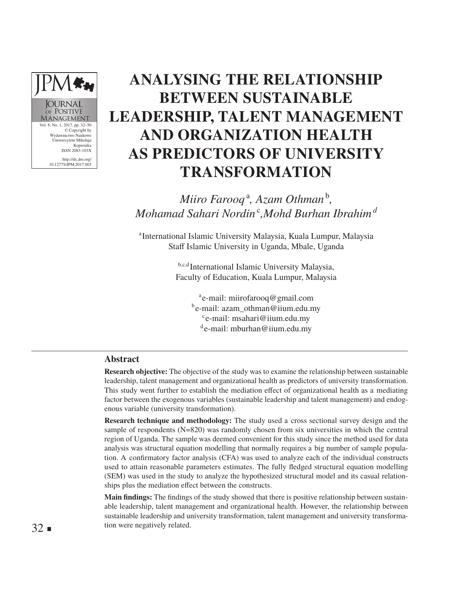# **ANALYSING THE RELATIONSHIP BETWEEN SUSTAINABLE LEADERSHIP, TALENT MANAGEMENT AND ORGANIZATION HEALTH AS PREDICTORS OF UNIVERSITY TRANSFORMATION**

*Miiro Farooq*<sup>a</sup>, Azam Othman<sup>b</sup>, *Mohamad Sahari Nordin*<sup>c</sup> *,Mohd Burhan Ibrahim<sup>d</sup>*

a International Islamic University Malaysia, Kuala Lumpur, Malaysia Staff Islamic University in Uganda, Mbale, Uganda

> b,c,d International Islamic University Malaysia, Faculty of Education, Kuala Lumpur, Malaysia

<sup>a</sup>e-mail: miirofarooq@gmail.com be-mail: azam\_othman@iium.edu.my c e-mail: msahari@iium.edu.my de-mail: mburhan@iium.edu.my

### **Abstract**

Vol. 8, No. 1, 2017, pp. 32–50 © Copyright by Wydawnictwo Na Uniwersytetu Mikołaja Kopernika ISSN 2083-103X http://dx.doi.org/ 10.12775/JPM.2017.003

**OURNAI** OF POSITIVE MANAGEMENT

> **Research objective:** The objective of the study was to examine the relationship between sustainable leadership, talent management and organizational health as predictors of university transformation. This study went further to establish the mediation effect of organizational health as a mediating factor between the exogenous variables (sustainable leadership and talent management) and endogenous variable (university transformation).

> **Research technique and methodology:** The study used a cross sectional survey design and the sample of respondents (N=820) was randomly chosen from six universities in which the central region of Uganda. The sample was deemed convenient for this study since the method used for data analysis was structural equation modelling that normally requires a big number of sample population. A confirmatory factor analysis (CFA) was used to analyze each of the individual constructs used to attain reasonable parameters estimates. The fully fledged structural equation modelling (SEM) was used in the study to analyze the hypothesized structural model and its casual relationships plus the mediation effect between the constructs.

> **Main findings:** The findings of the study showed that there is positive relationship between sustainable leadership, talent management and organizational health. However, the relationship between sustainable leadership and university transformation, talent management and university transformation were negatively related.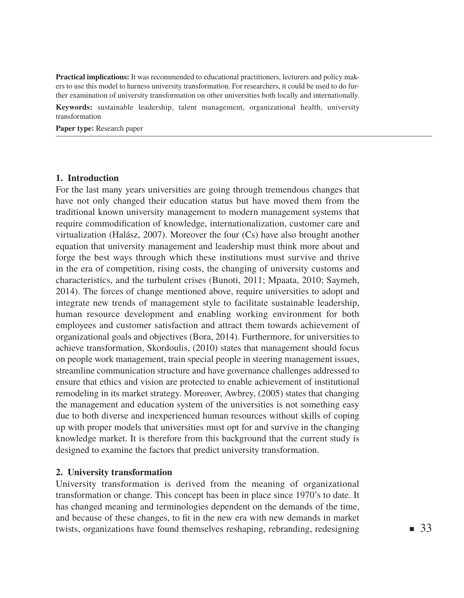**Practical implications:** It was recommended to educational practitioners, lecturers and policy makers to use this model to harness university transformation. For researchers, it could be used to do further examination of university transformation on other universities both locally and internationally.

**Keywords:** sustainable leadership, talent management, organizational health, university transformation

**Paper type:** Research paper

## **1. Introduction**

For the last many years universities are going through tremendous changes that have not only changed their education status but have moved them from the traditional known university management to modern management systems that require commodification of knowledge, internationalization, customer care and virtualization (Halász, 2007). Moreover the four (Cs) have also brought another equation that university management and leadership must think more about and forge the best ways through which these institutions must survive and thrive in the era of competition, rising costs, the changing of university customs and characteristics, and the turbulent crises (Bunoti, 2011; Mpaata, 2010; Saymeh, 2014). The forces of change mentioned above, require universities to adopt and integrate new trends of management style to facilitate sustainable leadership, human resource development and enabling working environment for both employees and customer satisfaction and attract them towards achievement of organizational goals and objectives (Bora, 2014). Furthermore, for universities to achieve transformation, Skordoulis, (2010) states that management should focus on people work management, train special people in steering management issues, streamline communication structure and have governance challenges addressed to ensure that ethics and vision are protected to enable achievement of institutional remodeling in its market strategy. Moreover, Awbrey, (2005) states that changing the management and education system of the universities is not something easy due to both diverse and inexperienced human resources without skills of coping up with proper models that universities must opt for and survive in the changing knowledge market. It is therefore from this background that the current study is designed to examine the factors that predict university transformation.

#### **2. University transformation**

University transformation is derived from the meaning of organizational transformation or change. This concept has been in place since 1970's to date. It has changed meaning and terminologies dependent on the demands of the time, and because of these changes, to fit in the new era with new demands in market twists, organizations have found themselves reshaping, rebranding, redesigning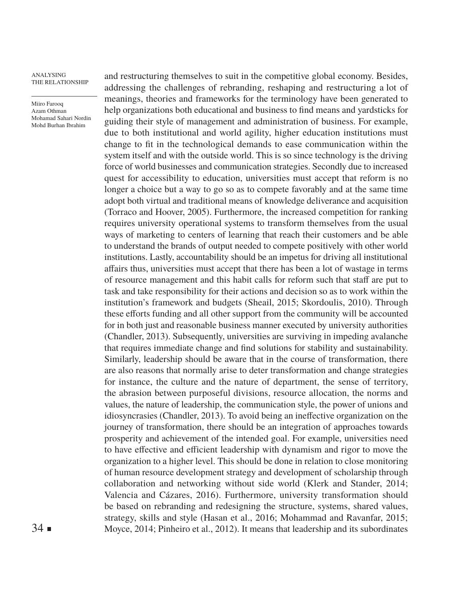Miiro Farooq Azam Othman Mohamad Sahari Nordin Mohd Burhan Ibrahim

and restructuring themselves to suit in the competitive global economy. Besides, addressing the challenges of rebranding, reshaping and restructuring a lot of meanings, theories and frameworks for the terminology have been generated to help organizations both educational and business to find means and yardsticks for guiding their style of management and administration of business. For example, due to both institutional and world agility, higher education institutions must change to fit in the technological demands to ease communication within the system itself and with the outside world. This is so since technology is the driving force of world businesses and communication strategies. Secondly due to increased quest for accessibility to education, universities must accept that reform is no longer a choice but a way to go so as to compete favorably and at the same time adopt both virtual and traditional means of knowledge deliverance and acquisition (Torraco and Hoover, 2005). Furthermore, the increased competition for ranking requires university operational systems to transform themselves from the usual ways of marketing to centers of learning that reach their customers and be able to understand the brands of output needed to compete positively with other world institutions. Lastly, accountability should be an impetus for driving all institutional affairs thus, universities must accept that there has been a lot of wastage in terms of resource management and this habit calls for reform such that staff are put to task and take responsibility for their actions and decision so as to work within the institution's framework and budgets (Sheail, 2015; Skordoulis, 2010). Through these efforts funding and all other support from the community will be accounted for in both just and reasonable business manner executed by university authorities (Chandler, 2013). Subsequently, universities are surviving in impeding avalanche that requires immediate change and find solutions for stability and sustainability. Similarly, leadership should be aware that in the course of transformation, there are also reasons that normally arise to deter transformation and change strategies for instance, the culture and the nature of department, the sense of territory, the abrasion between purposeful divisions, resource allocation, the norms and values, the nature of leadership, the communication style, the power of unions and idiosyncrasies (Chandler, 2013). To avoid being an ineffective organization on the journey of transformation, there should be an integration of approaches towards prosperity and achievement of the intended goal. For example, universities need to have effective and efficient leadership with dynamism and rigor to move the organization to a higher level. This should be done in relation to close monitoring of human resource development strategy and development of scholarship through collaboration and networking without side world (Klerk and Stander, 2014; Valencia and Cázares, 2016). Furthermore, university transformation should be based on rebranding and redesigning the structure, systems, shared values, strategy, skills and style (Hasan et al., 2016; Mohammad and Ravanfar, 2015; Moyce, 2014; Pinheiro et al., 2012). It means that leadership and its subordinates

 $34$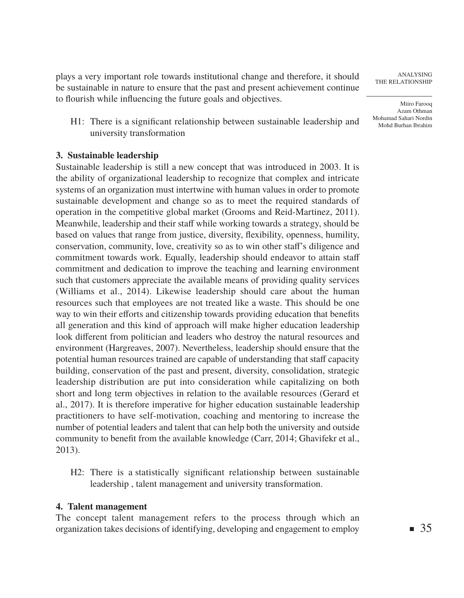plays a very important role towards institutional change and therefore, it should be sustainable in nature to ensure that the past and present achievement continue to flourish while influencing the future goals and objectives.

H1: There is a significant relationship between sustainable leadership and university transformation

# **3. Sustainable leadership**

Sustainable leadership is still a new concept that was introduced in 2003. It is the ability of organizational leadership to recognize that complex and intricate systems of an organization must intertwine with human values in order to promote sustainable development and change so as to meet the required standards of operation in the competitive global market (Grooms and Reid-Martinez, 2011). Meanwhile, leadership and their staff while working towards a strategy, should be based on values that range from justice, diversity, flexibility, openness, humility, conservation, community, love, creativity so as to win other staff's diligence and commitment towards work. Equally, leadership should endeavor to attain staff commitment and dedication to improve the teaching and learning environment such that customers appreciate the available means of providing quality services (Williams et al., 2014). Likewise leadership should care about the human resources such that employees are not treated like a waste. This should be one way to win their efforts and citizenship towards providing education that benefits all generation and this kind of approach will make higher education leadership look different from politician and leaders who destroy the natural resources and environment (Hargreaves, 2007). Nevertheless, leadership should ensure that the potential human resources trained are capable of understanding that staff capacity building, conservation of the past and present, diversity, consolidation, strategic leadership distribution are put into consideration while capitalizing on both short and long term objectives in relation to the available resources (Gerard et al., 2017). It is therefore imperative for higher education sustainable leadership practitioners to have self-motivation, coaching and mentoring to increase the number of potential leaders and talent that can help both the university and outside community to benefit from the available knowledge (Carr, 2014; Ghavifekr et al., 2013).

H2: There is a statistically significant relationship between sustainable leadership , talent management and university transformation.

# **4. Talent management**

The concept talent management refers to the process through which an organization takes decisions of identifying, developing and engagement to employ

Analysing The Relationship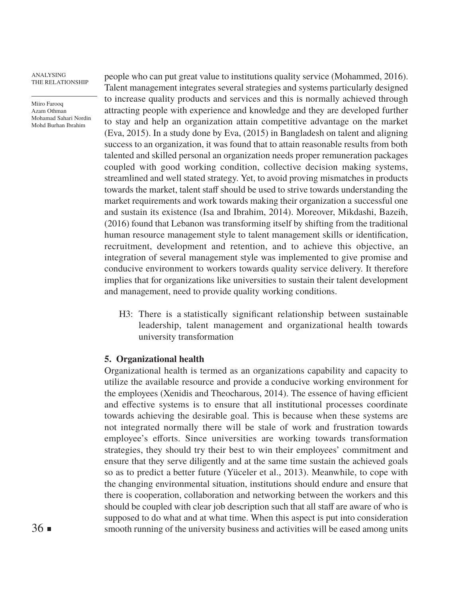Miiro Farooq Azam Othman Mohamad Sahari Nordin Mohd Burhan Ibrahim

people who can put great value to institutions quality service (Mohammed, 2016). Talent management integrates several strategies and systems particularly designed to increase quality products and services and this is normally achieved through attracting people with experience and knowledge and they are developed further to stay and help an organization attain competitive advantage on the market (Eva, 2015). In a study done by Eva, (2015) in Bangladesh on talent and aligning success to an organization, it was found that to attain reasonable results from both talented and skilled personal an organization needs proper remuneration packages coupled with good working condition, collective decision making systems, streamlined and well stated strategy. Yet, to avoid proving mismatches in products towards the market, talent staff should be used to strive towards understanding the market requirements and work towards making their organization a successful one and sustain its existence (Isa and Ibrahim, 2014). Moreover, Mikdashi, Bazeih, (2016) found that Lebanon was transforming itself by shifting from the traditional human resource management style to talent management skills or identification, recruitment, development and retention, and to achieve this objective, an integration of several management style was implemented to give promise and conducive environment to workers towards quality service delivery. It therefore implies that for organizations like universities to sustain their talent development and management, need to provide quality working conditions.

H3: There is a statistically significant relationship between sustainable leadership, talent management and organizational health towards university transformation

## **5. Organizational health**

Organizational health is termed as an organizations capability and capacity to utilize the available resource and provide a conducive working environment for the employees (Xenidis and Theocharous, 2014). The essence of having efficient and effective systems is to ensure that all institutional processes coordinate towards achieving the desirable goal. This is because when these systems are not integrated normally there will be stale of work and frustration towards employee's efforts. Since universities are working towards transformation strategies, they should try their best to win their employees' commitment and ensure that they serve diligently and at the same time sustain the achieved goals so as to predict a better future (Yüceler et al., 2013). Meanwhile, to cope with the changing environmental situation, institutions should endure and ensure that there is cooperation, collaboration and networking between the workers and this should be coupled with clear job description such that all staff are aware of who is supposed to do what and at what time. When this aspect is put into consideration smooth running of the university business and activities will be eased among units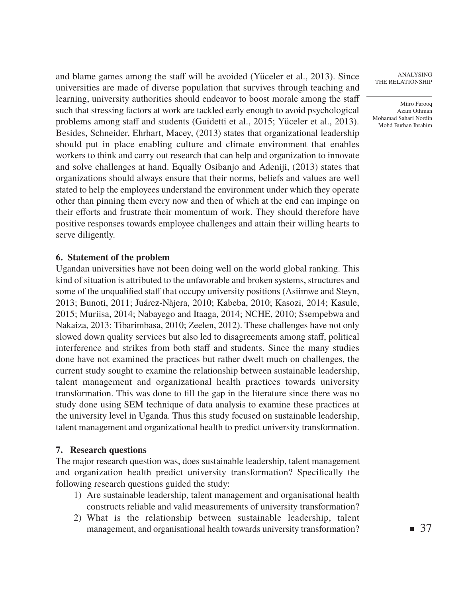and blame games among the staff will be avoided (Yüceler et al., 2013). Since universities are made of diverse population that survives through teaching and learning, university authorities should endeavor to boost morale among the staff such that stressing factors at work are tackled early enough to avoid psychological problems among staff and students (Guidetti et al., 2015; Yüceler et al., 2013). Besides, Schneider, Ehrhart, Macey, (2013) states that organizational leadership should put in place enabling culture and climate environment that enables workers to think and carry out research that can help and organization to innovate and solve challenges at hand. Equally Osibanjo and Adeniji, (2013) states that organizations should always ensure that their norms, beliefs and values are well stated to help the employees understand the environment under which they operate other than pinning them every now and then of which at the end can impinge on their efforts and frustrate their momentum of work. They should therefore have positive responses towards employee challenges and attain their willing hearts to serve diligently.

## **6. Statement of the problem**

Ugandan universities have not been doing well on the world global ranking. This kind of situation is attributed to the unfavorable and broken systems, structures and some of the unqualified staff that occupy university positions (Asiimwe and Steyn, 2013; Bunoti, 2011; Juárez-Nàjera, 2010; Kabeba, 2010; Kasozi, 2014; Kasule, 2015; Muriisa, 2014; Nabayego and Itaaga, 2014; NCHE, 2010; Ssempebwa and Nakaiza, 2013; Tibarimbasa, 2010; Zeelen, 2012). These challenges have not only slowed down quality services but also led to disagreements among staff, political interference and strikes from both staff and students. Since the many studies done have not examined the practices but rather dwelt much on challenges, the current study sought to examine the relationship between sustainable leadership, talent management and organizational health practices towards university transformation. This was done to fill the gap in the literature since there was no study done using SEM technique of data analysis to examine these practices at the university level in Uganda. Thus this study focused on sustainable leadership, talent management and organizational health to predict university transformation.

## **7. Research questions**

The major research question was, does sustainable leadership, talent management and organization health predict university transformation? Specifically the following research questions guided the study:

- 1) Are sustainable leadership, talent management and organisational health constructs reliable and valid measurements of university transformation?
- 2) What is the relationship between sustainable leadership, talent management, and organisational health towards university transformation?

Analysing The Relationship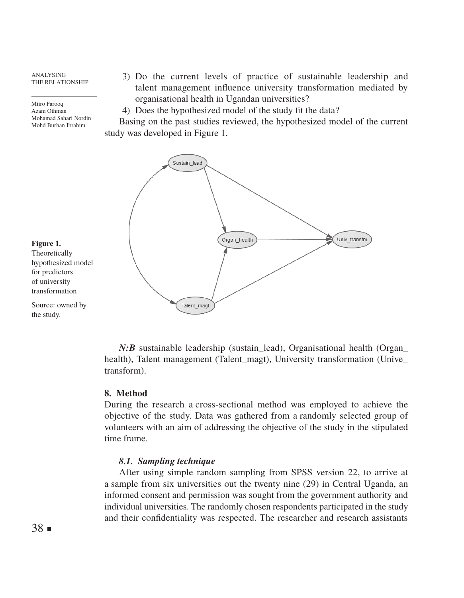Miiro Farooq Azam Othman Mohamad Sahari Nordin Mohd Burhan Ibrahim

3) Do the current levels of practice of sustainable leadership and talent management influence university transformation mediated by organisational health in Ugandan universities?

4) Does the hypothesized model of the study fit the data?

Basing on the past studies reviewed, the hypothesized model of the current study was developed in Figure 1.



# **Figure 1.**

Theoretically hypothesized model for predictors of university transformation

Source: owned by the study.

> *N:B* sustainable leadership (sustain lead), Organisational health (Organ health), Talent management (Talent magt), University transformation (Unive transform).

#### **8. Method**

During the research a cross-sectional method was employed to achieve the objective of the study. Data was gathered from a randomly selected group of volunteers with an aim of addressing the objective of the study in the stipulated time frame.

# *8.1. Sampling technique*

After using simple random sampling from SPSS version 22, to arrive at a sample from six universities out the twenty nine (29) in Central Uganda, an informed consent and permission was sought from the government authority and individual universities. The randomly chosen respondents participated in the study and their confidentiality was respected. The researcher and research assistants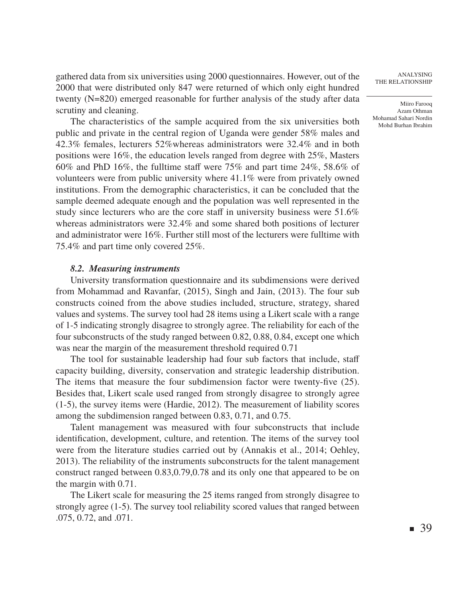gathered data from six universities using 2000 questionnaires. However, out of the 2000 that were distributed only 847 were returned of which only eight hundred twenty (N=820) emerged reasonable for further analysis of the study after data scrutiny and cleaning.

The characteristics of the sample acquired from the six universities both public and private in the central region of Uganda were gender 58% males and 42.3% females, lecturers 52%whereas administrators were 32.4% and in both positions were 16%, the education levels ranged from degree with 25%, Masters 60% and PhD 16%, the fulltime staff were 75% and part time 24%, 58.6% of volunteers were from public university where 41.1% were from privately owned institutions. From the demographic characteristics, it can be concluded that the sample deemed adequate enough and the population was well represented in the study since lecturers who are the core staff in university business were 51.6% whereas administrators were 32.4% and some shared both positions of lecturer and administrator were 16%. Further still most of the lecturers were fulltime with 75.4% and part time only covered 25%.

#### *8.2. Measuring instruments*

University transformation questionnaire and its subdimensions were derived from Mohammad and Ravanfar, (2015), Singh and Jain, (2013). The four sub constructs coined from the above studies included, structure, strategy, shared values and systems. The survey tool had 28 items using a Likert scale with a range of 1-5 indicating strongly disagree to strongly agree. The reliability for each of the four subconstructs of the study ranged between 0.82, 0.88, 0.84, except one which was near the margin of the measurement threshold required 0.71

The tool for sustainable leadership had four sub factors that include, staff capacity building, diversity, conservation and strategic leadership distribution. The items that measure the four subdimension factor were twenty-five (25). Besides that, Likert scale used ranged from strongly disagree to strongly agree (1-5), the survey items were (Hardie, 2012). The measurement of liability scores among the subdimension ranged between 0.83, 0.71, and 0.75.

Talent management was measured with four subconstructs that include identification, development, culture, and retention. The items of the survey tool were from the literature studies carried out by (Annakis et al., 2014; Oehley, 2013). The reliability of the instruments subconstructs for the talent management construct ranged between 0.83,0.79,0.78 and its only one that appeared to be on the margin with 0.71.

The Likert scale for measuring the 25 items ranged from strongly disagree to strongly agree (1-5). The survey tool reliability scored values that ranged between .075, 0.72, and .071.

Analysing The Relationship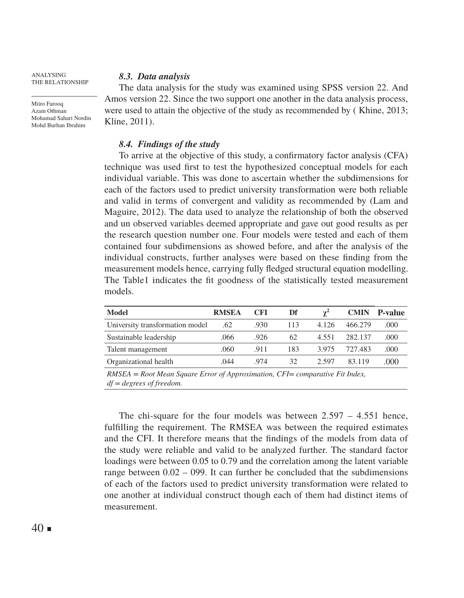Miiro Farooq Azam Othman Mohamad Sahari Nordin Mohd Burhan Ibrahim

### *8.3. Data analysis*

The data analysis for the study was examined using SPSS version 22. And Amos version 22. Since the two support one another in the data analysis process, were used to attain the objective of the study as recommended by ( Khine, 2013; Kline, 2011).

# *8.4. Findings of the study*

To arrive at the objective of this study, a confirmatory factor analysis (CFA) technique was used first to test the hypothesized conceptual models for each individual variable. This was done to ascertain whether the subdimensions for each of the factors used to predict university transformation were both reliable and valid in terms of convergent and validity as recommended by (Lam and Maguire, 2012). The data used to analyze the relationship of both the observed and un observed variables deemed appropriate and gave out good results as per the research question number one. Four models were tested and each of them contained four subdimensions as showed before, and after the analysis of the individual constructs, further analyses were based on these finding from the measurement models hence, carrying fully fledged structural equation modelling. The Table1 indicates the fit goodness of the statistically tested measurement models.

| <b>Model</b>                    | <b>RMSEA</b> | <b>CFI</b> | Df  |       |         | <b>CMIN P-value</b> |
|---------------------------------|--------------|------------|-----|-------|---------|---------------------|
| University transformation model | .62          | .930       | 113 | 4.126 | 466.279 | .000                |
| Sustainable leadership          | .066         | .926       | 62  | 4.551 | 282.137 | .000                |
| Talent management               | .060         | .911       | 183 | 3.975 | 727.483 | .000                |
| Organizational health           | .044         | .974       | 32  | 2.597 | 83.119  | .000                |

*RMSEA = Root Mean Square Error of Approximation, CFI= comparative Fit Index, df = degrees of freedom.*

The chi-square for the four models was between  $2.597 - 4.551$  hence, fulfilling the requirement. The RMSEA was between the required estimates and the CFI. It therefore means that the findings of the models from data of the study were reliable and valid to be analyzed further. The standard factor loadings were between 0.05 to 0.79 and the correlation among the latent variable range between 0.02 – 099. It can further be concluded that the subdimensions of each of the factors used to predict university transformation were related to one another at individual construct though each of them had distinct items of measurement.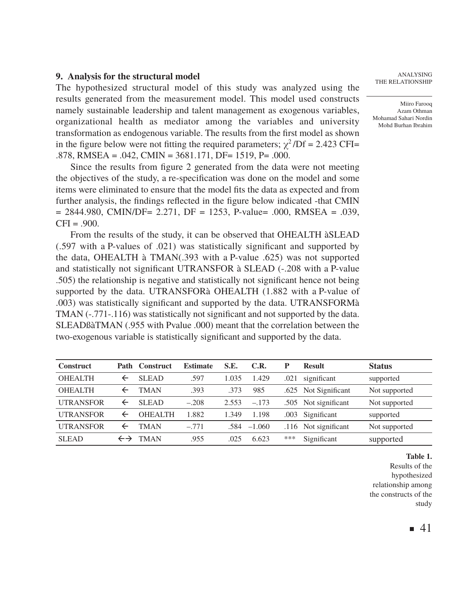#### **9. Analysis for the structural model**

The hypothesized structural model of this study was analyzed using the results generated from the measurement model. This model used constructs namely sustainable leadership and talent management as exogenous variables, organizational health as mediator among the variables and university transformation as endogenous variable. The results from the first model as shown in the figure below were not fitting the required parameters;  $\chi^2$ /Df = 2.423 CFI= .878, RMSEA = .042, CMIN = 3681.171, DF= 1519, P= .000.

Since the results from figure 2 generated from the data were not meeting the objectives of the study, a re-specification was done on the model and some items were eliminated to ensure that the model fits the data as expected and from further analysis, the findings reflected in the figure below indicated -that CMIN  $= 2844.980$ , CMIN/DF= 2.271, DF = 1253, P-value= .000, RMSEA = .039,  $CFI = .900.$ 

From the results of the study, it can be observed that OHEALTH àSLEAD (.597 with a P-values of .021) was statistically significant and supported by the data, OHEALTH à TMAN(.393 with a P-value .625) was not supported and statistically not significant UTRANSFOR à SLEAD (-.208 with a P-value .505) the relationship is negative and statistically not significant hence not being supported by the data. UTRANSFORà OHEALTH (1.882 with a P-value of .003) was statistically significant and supported by the data. UTRANSFORMà TMAN (-.771-.116) was statistically not significant and not supported by the data. SLEADßàTMAN (.955 with Pvalue .000) meant that the correlation between the two-exogenous variable is statistically significant and supported by the data.

| <b>Construct</b> |                   | Path Construct | <b>Estimate</b> | S.E.  | C.R.     | P    | <b>Result</b>        | <b>Status</b> |
|------------------|-------------------|----------------|-----------------|-------|----------|------|----------------------|---------------|
| <b>OHEALTH</b>   |                   | <b>SLEAD</b>   | .597            | 1.035 | 1.429    | .021 | significant          | supported     |
| <b>OHEALTH</b>   |                   | TMAN           | .393            | .373  | 985      | .625 | Not Significant      | Not supported |
| <b>UTRANSFOR</b> |                   | <b>SLEAD</b>   | $-.208$         | 2.553 | $-.173$  | .505 | Not significant      | Not supported |
| <b>UTRANSFOR</b> |                   | <b>OHEALTH</b> | .882            | 1.349 | 1.198    | .003 | Significant          | supported     |
| <b>UTRANSFOR</b> |                   | TMAN           | $-.771$         | .584  | $-1.060$ |      | .116 Not significant | Not supported |
| <b>SLEAD</b>     | $\leftrightarrow$ | <b>TMAN</b>    | .955            | .025  | 6.623    | ***  | Significant          | supported     |

Analysing The Relationship

Miiro Farooq Azam Othman Mohamad Sahari Nordin Mohd Burhan Ibrahim

**Table 1.**

Results of the hypothesized relationship among the constructs of the study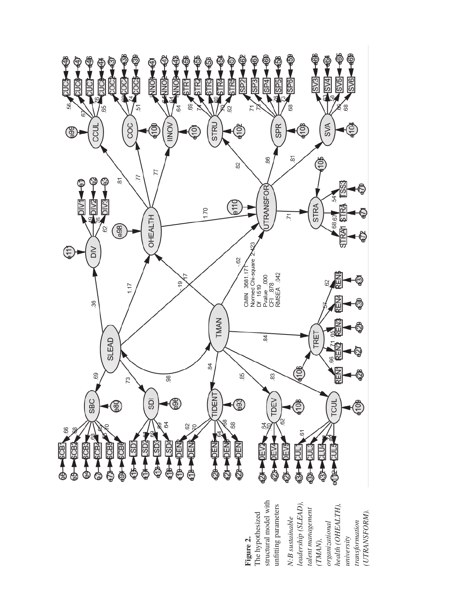

structural model with structural model with *leadership (SLEAD), health (OHEALTH),*  leadership (SLEAD), unfitting parameters health (OHEALTH), unfitting parameters *talent management*  talent management UTRANSFORM). *(UTRANSFORM).*N:B sustainable *N:B sustainable*  ransformation *transformation*  organizational *organizational university (TMAN),* 

**Figure 2.** The hypothesized

The hypothesized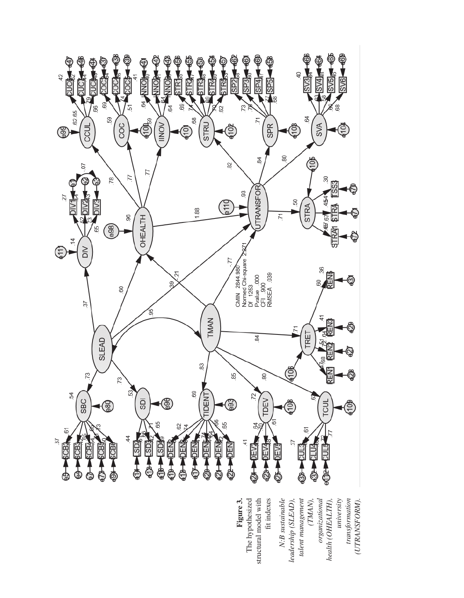

N:B sustainable *N:B sustainable leadership (SLEAD),*  talent management *talent management organizational health (OHEALTH), university transformation*  fit indexes leadership (SLEAD), *(TMAN),*  organizational health (OHEALTH), transformation (UTRANSFORM). fit indexes *(UTRANSFORM).*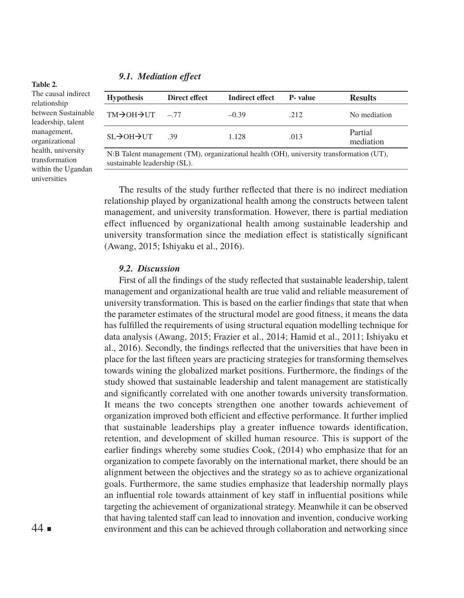#### *9.1. Mediation effect*

The causal indirect relationship between Sustainable leadership, talent management, organizational health, university transformation within the Ugandan universities

**Table 2***.*

| <b>Hypothesis</b>                                                                       | Direct effect | <b>Indirect effect</b> | <b>P</b> -value | <b>Results</b>       |  |  |
|-----------------------------------------------------------------------------------------|---------------|------------------------|-----------------|----------------------|--|--|
| $TM \rightarrow OH \rightarrow UT$                                                      | $-77$         | $-0.39$                | .212            | No mediation         |  |  |
| $SI \rightarrow OH \rightarrow UT$                                                      | -39           | 1.128                  | .013            | Partial<br>mediation |  |  |
| N:B Talent management (TM), organizational health (OH), university transformation (UT), |               |                        |                 |                      |  |  |

sustainable leadership (SL).

The results of the study further reflected that there is no indirect mediation relationship played by organizational health among the constructs between talent management, and university transformation. However, there is partial mediation effect influenced by organizational health among sustainable leadership and university transformation since the mediation effect is statistically significant (Awang, 2015; Ishiyaku et al., 2016).

#### *9.2. Discussion*

First of all the findings of the study reflected that sustainable leadership, talent management and organizational health are true valid and reliable measurement of university transformation. This is based on the earlier findings that state that when the parameter estimates of the structural model are good fitness, it means the data has fulfilled the requirements of using structural equation modelling technique for data analysis (Awang, 2015; Frazier et al., 2014; Hamid et al., 2011; Ishiyaku et al., 2016). Secondly, the findings reflected that the universities that have been in place for the last fifteen years are practicing strategies for transforming themselves towards wining the globalized market positions. Furthermore, the findings of the study showed that sustainable leadership and talent management are statistically and significantly correlated with one another towards university transformation. It means the two concepts strengthen one another towards achievement of organization improved both efficient and effective performance. It further implied that sustainable leaderships play a greater influence towards identification, retention, and development of skilled human resource. This is support of the earlier findings whereby some studies Cook, (2014) who emphasize that for an organization to compete favorably on the international market, there should be an alignment between the objectives and the strategy so as to achieve organizational goals. Furthermore, the same studies emphasize that leadership normally plays an influential role towards attainment of key staff in influential positions while targeting the achievement of organizational strategy. Meanwhile it can be observed that having talented staff can lead to innovation and invention, conducive working environment and this can be achieved through collaboration and networking since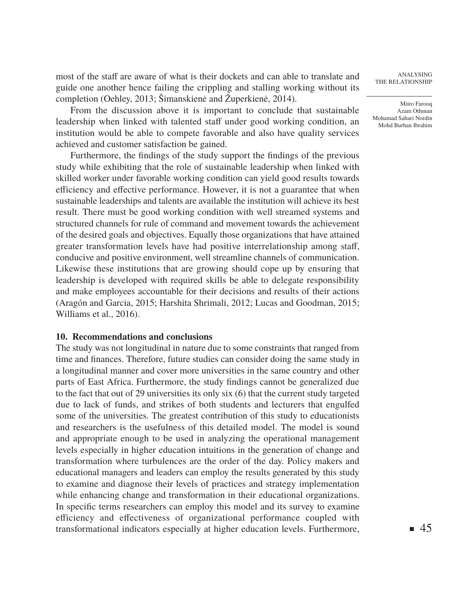most of the staff are aware of what is their dockets and can able to translate and guide one another hence failing the crippling and stalling working without its completion (Oehley, 2013; Šimanskienė and Župerkienė, 2014).

From the discussion above it is important to conclude that sustainable leadership when linked with talented staff under good working condition, an institution would be able to compete favorable and also have quality services achieved and customer satisfaction be gained.

Furthermore, the findings of the study support the findings of the previous study while exhibiting that the role of sustainable leadership when linked with skilled worker under favorable working condition can yield good results towards efficiency and effective performance. However, it is not a guarantee that when sustainable leaderships and talents are available the institution will achieve its best result. There must be good working condition with well streamed systems and structured channels for rule of command and movement towards the achievement of the desired goals and objectives. Equally those organizations that have attained greater transformation levels have had positive interrelationship among staff, conducive and positive environment, well streamline channels of communication. Likewise these institutions that are growing should cope up by ensuring that leadership is developed with required skills be able to delegate responsibility and make employees accountable for their decisions and results of their actions (Aragón and Garcia, 2015; Harshita Shrimali, 2012; Lucas and Goodman, 2015; Williams et al., 2016).

# **10. Recommendations and conclusions**

The study was not longitudinal in nature due to some constraints that ranged from time and finances. Therefore, future studies can consider doing the same study in a longitudinal manner and cover more universities in the same country and other parts of East Africa. Furthermore, the study findings cannot be generalized due to the fact that out of 29 universities its only six (6) that the current study targeted due to lack of funds, and strikes of both students and lecturers that engulfed some of the universities. The greatest contribution of this study to educationists and researchers is the usefulness of this detailed model. The model is sound and appropriate enough to be used in analyzing the operational management levels especially in higher education intuitions in the generation of change and transformation where turbulences are the order of the day. Policy makers and educational managers and leaders can employ the results generated by this study to examine and diagnose their levels of practices and strategy implementation while enhancing change and transformation in their educational organizations. In specific terms researchers can employ this model and its survey to examine efficiency and effectiveness of organizational performance coupled with transformational indicators especially at higher education levels. Furthermore,

Analysing The Relationship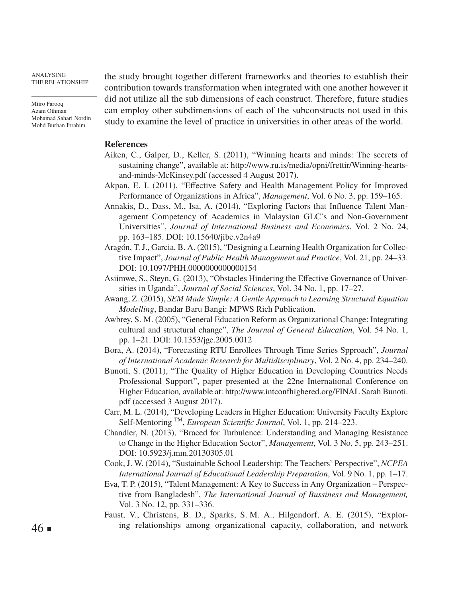Miiro Farooq Azam Othman Mohamad Sahari Nordin Mohd Burhan Ibrahim

the study brought together different frameworks and theories to establish their contribution towards transformation when integrated with one another however it did not utilize all the sub dimensions of each construct. Therefore, future studies can employ other subdimensions of each of the subconstructs not used in this study to examine the level of practice in universities in other areas of the world.

#### **References**

- Aiken, C., Galper, D., Keller, S. (2011), "Winning hearts and minds: The secrets of sustaining change", available at: http://www.ru.is/media/opni/frettir/Winning-heartsand-minds-McKinsey.pdf (accessed 4 August 2017).
- Akpan, E. I. (2011), "Effective Safety and Health Management Policy for Improved Performance of Organizations in Africa", *Management*, Vol. 6 No. 3, pp. 159–165.
- Annakis, D., Dass, M., Isa, A. (2014), "Exploring Factors that Influence Talent Management Competency of Academics in Malaysian GLC's and Non-Government Universities", *Journal of International Business and Economics*, Vol. 2 No. 24, pp. 163–185. DOI: 10.15640/jibe.v2n4a9
- Aragón, T. J., Garcia, B. A. (2015), "Designing a Learning Health Organization for Collective Impact", *Journal of Public Health Management and Practice*, Vol. 21, pp. 24–33. DOI: 10.1097/PHH.0000000000000154
- Asiimwe, S., Steyn, G. (2013), "Obstacles Hindering the Effective Governance of Universities in Uganda", *Journal of Social Sciences*, Vol. 34 No. 1, pp. 17–27.
- Awang, Z. (2015), *SEM Made Simple: A Gentle Approach to Learning Structural Equation Modelling*, Bandar Baru Bangi: MPWS Rich Publication.
- Awbrey, S. M. (2005), "General Education Reform as Organizational Change: Integrating cultural and structural change", *The Journal of General Education*, Vol. 54 No. 1, pp. 1–21. DOI: 10.1353/jge.2005.0012
- Bora, A. (2014), "Forecasting RTU Enrollees Through Time Series Spproach", *Journal of International Academic Research for Multidisciplinary*, Vol. 2 No. 4, pp. 234–240.
- Bunoti, S. (2011), "The Quality of Higher Education in Developing Countries Needs Professional Support", paper presented at the 22ne International Conference on Higher Education*,* available at: http://www.intconfhighered.org/FINAL Sarah Bunoti. pdf (accessed 3 August 2017).
- Carr, M. L. (2014), "Developing Leaders in Higher Education: University Faculty Explore Self-Mentoring TM, *European Scientific Journal*, Vol. 1, pp. 214–223.
- Chandler, N. (2013), "Braced for Turbulence: Understanding and Managing Resistance to Change in the Higher Education Sector", *Management*, Vol. 3 No. 5, pp. 243–251. DOI: 10.5923/j.mm.20130305.01
- Cook, J. W. (2014), "Sustainable School Leadership: The Teachers' Perspective", *NCPEA International Journal of Educational Leadership Preparation*, Vol. 9 No. 1, pp. 1–17.
- Eva, T. P. (2015), "Talent Management: A Key to Success in Any Organization Perspective from Bangladesh", *The International Journal of Bussiness and Management,*  Vol. 3 No. 12, pp. 331–336.
- Faust, V., Christens, B. D., Sparks, S. M. A., Hilgendorf, A. E. (2015), "Exploring relationships among organizational capacity, collaboration, and network

 $46 \blacksquare$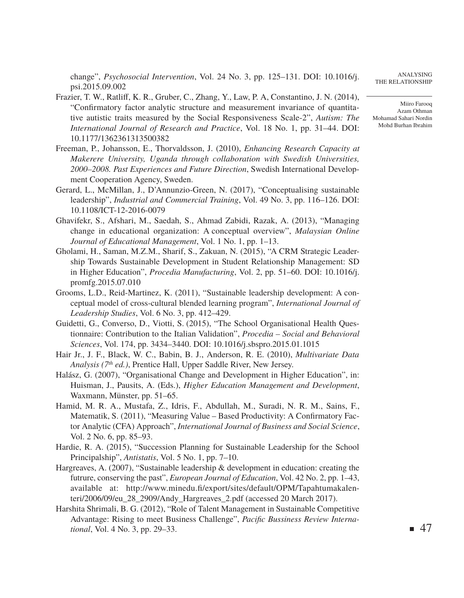change", *Psychosocial Intervention*, Vol. 24 No. 3, pp. 125–131. DOI: 10.1016/j. psi.2015.09.002

- Frazier, T. W., Ratliff, K. R., Gruber, C., Zhang, Y., Law, P. A, Constantino, J. N. (2014), "Confirmatory factor analytic structure and measurement invariance of quantitative autistic traits measured by the Social Responsiveness Scale-2", *Autism: The International Journal of Research and Practice*, Vol. 18 No. 1, pp. 31–44. DOI: 10.1177/1362361313500382
- Freeman, P., Johansson, E., Thorvaldsson, J. (2010), *Enhancing Research Capacity at Makerere University, Uganda through collaboration with Swedish Universities, 2000–2008. Past Experiences and Future Direction*, Swedish International Development Cooperation Agency, Sweden.
- Gerard, L., McMillan, J., D'Annunzio-Green, N. (2017), "Conceptualising sustainable leadership", *Industrial and Commercial Training*, Vol. 49 No. 3, pp. 116–126. DOI: 10.1108/ICT-12-2016-0079
- Ghavifekr, S., Afshari, M., Saedah, S., Ahmad Zabidi, Razak, A. (2013), "Managing change in educational organization: A conceptual overview", *Malaysian Online Journal of Educational Management*, Vol. 1 No. 1, pp. 1–13.
- Gholami, H., Saman, M.Z.M., Sharif, S., Zakuan, N. (2015), "A CRM Strategic Leadership Towards Sustainable Development in Student Relationship Management: SD in Higher Education", *Procedia Manufacturing*, Vol. 2, pp. 51–60. DOI: 10.1016/j. promfg.2015.07.010
- Grooms, L.D., Reid-Martinez, K. (2011), "Sustainable leadership development: A conceptual model of cross-cultural blended learning program", *International Journal of Leadership Studies*, Vol. 6 No. 3, pp. 412–429.
- Guidetti, G., Converso, D., Viotti, S. (2015), "The School Organisational Health Questionnaire: Contribution to the Italian Validation", *Procedia – Social and Behavioral Sciences*, Vol. 174, pp. 3434–3440. DOI: 10.1016/j.sbspro.2015.01.1015
- Hair Jr., J. F., Black, W. C., Babin, B. J., Anderson, R. E. (2010), *Multivariate Data Analysis (7th ed.)*, Prentice Hall, Upper Saddle River, New Jersey.
- Halász, G. (2007), "Organisational Change and Development in Higher Education", in: Huisman, J., Pausits, A. (Eds.), *Higher Education Management and Development*, Waxmann, Münster, pp. 51–65.
- Hamid, M. R. A., Mustafa, Z., Idris, F., Abdullah, M., Suradi, N. R. M., Sains, F., Matematik, S. (2011), "Measuring Value – Based Productivity: A Confirmatory Factor Analytic (CFA) Approach", *International Journal of Business and Social Science*, Vol. 2 No. 6, pp. 85–93.
- Hardie, R. A. (2015), "Succession Planning for Sustainable Leadership for the School Principalship", *Antistatis*, Vol. 5 No. 1, pp. 7–10.
- Hargreaves, A. (2007), "Sustainable leadership & development in education: creating the futrure, conserving the past", *European Journal of Education*, Vol. 42 No. 2, pp. 1–43, available at: http://www.minedu.fi/export/sites/default/OPM/Tapahtumakalenteri/2006/09/eu\_28\_2909/Andy\_Hargreaves\_2.pdf (accessed 20 March 2017).
- Harshita Shrimali, B. G. (2012), "Role of Talent Management in Sustainable Competitive Advantage: Rising to meet Business Challenge", *Pacific Bussiness Review International*, Vol. 4 No. 3, pp. 29–33.

Analysing The Relationship

Miiro Farooq Azam Othman Mohamad Sahari Nordin Mohd Burhan Ibrahim

 $\blacksquare$  47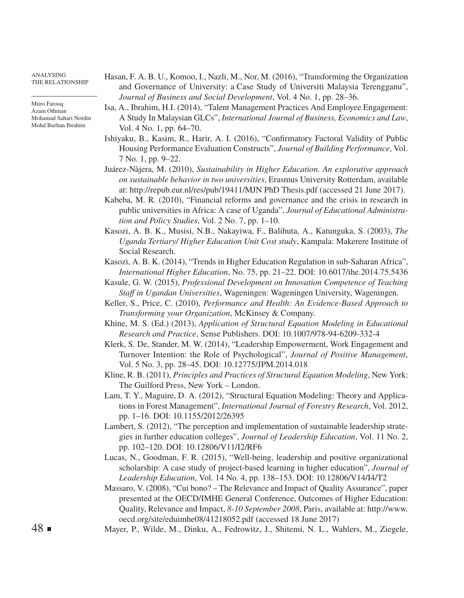Miiro Farooq Azam Othman Mohamad Sahari Nordin Mohd Burhan Ibrahim

- Hasan, F. A. B. U., Komoo, I., Nazli, M., Nor, M. (2016), "Transforming the Organization and Governance of University: a Case Study of Universiti Malaysia Terengganu", *Journal of Business and Social Development*, Vol. 4 No. 1, pp. 28–36.
- Isa, A., Ibrahim, H.I. (2014), "Talent Management Practices And Employee Engagement: A Study In Malaysian GLCs", *International Journal of Business, Economics and Law*, Vol. 4 No. 1, pp. 64–70.
- Ishiyaku, B., Kasim, R., Harir, A. I. (2016), "Confirmatory Factoral Validity of Public Housing Performance Evaluation Constructs", *Journal of Building Performance*, Vol. 7 No. 1, pp. 9–22.
- Juárez-Nàjera, M. (2010), *Sustainability in Higher Education. An explorative approach on sustainable behavior in two universities*, Erasmus University Rotterdam, available at: http://repub.eur.nl/res/pub/19411/MJN PhD Thesis.pdf (accessed 21 June 2017).
- Kabeba, M. R. (2010), "Financial reforms and governance and the crisis in research in public universities in Africa: A case of Uganda", *Journal of Educational Administration and Policy Studies*, Vol. 2 No. 7, pp. 1–10.
- Kasozi, A. B. K., Musisi, N.B., Nakayiwa, F., Balihuta, A., Katunguka, S. (2003), *The Uganda Tertiary/ Higher Education Unit Cost study*, Kampala: Makerere Institute of Social Research.
- Kasozi, A. B. K. (2014), "Trends in Higher Education Regulation in sub-Saharan Africa", *International Higher Education*, No. 75, pp. 21–22. DOI: 10.6017/ihe.2014.75.5436
- Kasule, G. W. (2015), *Professional Development on Innovation Competence of Teaching Staff in Ugandan Universities*, Wageningen: Wageningen University, Wageningen.
- Keller, S., Price, C. (2010), *Performance and Health: An Evidence-Based Approach to Transforming your Organization*, McKinsey & Company.
- Khine, M. S. (Ed.) (2013), *Application of Structural Equation Modeling in Educational Research and Practice*, Sense Publishers. DOI: 10.1007/978-94-6209-332-4
- Klerk, S. De, Stander, M. W. (2014), "Leadership Empowerment, Work Engagement and Turnover Intention: the Role of Psychological", *Journal of Positive Management*, Vol. 5 No. 3, pp. 28–45. DOI: 10.12775/JPM.2014.018
- Kline, R. B. (2011), *Principles and Practices of Structural Eqaution Modeling*, New York: The Guilford Press, New York – London.
- Lam, T. Y., Maguire, D. A. (2012), "Structural Equation Modeling: Theory and Applications in Forest Management", *International Journal of Forestry Research*, Vol. 2012, pp. 1–16. DOI: 10.1155/2012/26395
- Lambert, S. (2012), "The perception and implementation of sustainable leadership strategies in further education colleges", *Journal of Leadership Education*, Vol. 11 No. 2, pp. 102–120. DOI: 10.12806/V11/I2/RF6
- Lucas, N., Goodman, F. R. (2015), "Well-being, leadership and positive organizational scholarship: A case study of project-based learning in higher education", *Journal of Leadership Education*, Vol. 14 No. 4, pp. 138–153. DOI: 10.12806/V14/I4/T2
- Massaro, V. (2008), "Cui bono? The Relevance and Impact of Quality Assurance", paper presented at the OECD/IMHE General Conference, Outcomes of Higher Education: Quality, Relevance and Impact, *8-10 September 2008*, Paris, available at: http://www. oecd.org/site/eduimhe08/41218052.pdf (accessed 18 June 2017)
- Mayer, P., Wilde, M., Dinku, A., Fedrowitz, J., Shitemi, N. L., Wahlers, M., Ziegele,

 $48 \blacksquare$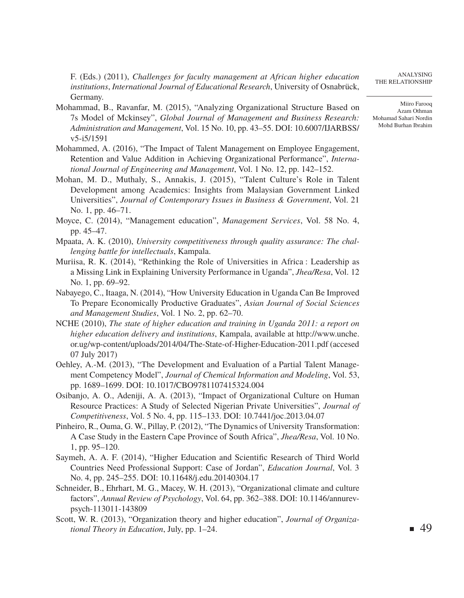Miiro Farooq Azam Othman Mohamad Sahari Nordin

Mohd Burhan Ibrahim

Analysing The Relationship

F. (Eds.) (2011), *Challenges for faculty management at African higher education institutions*, *International Journal of Educational Research*, University of Osnabrück, Germany.

- Mohammad, B., Ravanfar, M. (2015), "Analyzing Organizational Structure Based on 7s Model of Mckinsey", *Global Journal of Management and Business Research: Administration and Management*, Vol. 15 No. 10, pp. 43–55. DOI: 10.6007/IJARBSS/ v5-i5/1591
- Mohammed, A. (2016), "The Impact of Talent Management on Employee Engagement, Retention and Value Addition in Achieving Organizational Performance", *International Journal of Engineering and Management*, Vol. 1 No. 12, pp. 142–152.
- Mohan, M. D., Muthaly, S., Annakis, J. (2015), "Talent Culture's Role in Talent Development among Academics: Insights from Malaysian Government Linked Universities", *Journal of Contemporary Issues in Business & Government*, Vol. 21 No. 1, pp. 46–71.
- Moyce, C. (2014), "Management education", *Management Services*, Vol. 58 No. 4, pp. 45–47.
- Mpaata, A. K. (2010), *University competitiveness through quality assurance: The challenging battle for intellectuals*, Kampala.
- Muriisa, R. K. (2014), "Rethinking the Role of Universities in Africa : Leadership as a Missing Link in Explaining University Performance in Uganda", *Jhea/Resa*, Vol. 12 No. 1, pp. 69–92.
- Nabayego, C., Itaaga, N. (2014), "How University Education in Uganda Can Be Improved To Prepare Economically Productive Graduates", *Asian Journal of Social Sciences and Management Studies*, Vol. 1 No. 2, pp. 62–70.
- NCHE (2010), *The state of higher education and training in Uganda 2011: a report on higher education delivery and institutions*, Kampala, available at http://www.unche. or.ug/wp-content/uploads/2014/04/The-State-of-Higher-Education-2011.pdf (accesed 07 July 2017)
- Oehley, A.-M. (2013), "The Development and Evaluation of a Partial Talent Management Competency Model", *Journal of Chemical Information and Modeling*, Vol. 53, pp. 1689–1699. DOI: 10.1017/CBO9781107415324.004
- Osibanjo, A. O., Adeniji, A. A. (2013), "Impact of Organizational Culture on Human Resource Practices: A Study of Selected Nigerian Private Universities", *Journal of Competitiveness*, Vol. 5 No. 4, pp. 115–133. DOI: 10.7441/joc.2013.04.07
- Pinheiro, R., Ouma, G. W., Pillay, P. (2012), "The Dynamics of University Transformation: A Case Study in the Eastern Cape Province of South Africa", *Jhea/Resa*, Vol. 10 No. 1, pp. 95–120.
- Saymeh, A. A. F. (2014), "Higher Education and Scientific Research of Third World Countries Need Professional Support: Case of Jordan", *Education Journal*, Vol. 3 No. 4, pp. 245–255. DOI: 10.11648/j.edu.20140304.17
- Schneider, B., Ehrhart, M. G., Macey, W. H. (2013), "Organizational climate and culture factors", *Annual Review of Psychology*, Vol. 64, pp. 362–388. DOI: 10.1146/annurevpsych-113011-143809
- Scott, W. R. (2013), "Organization theory and higher education", *Journal of Organizational Theory in Education*, July, pp. 1–24.

■ 49